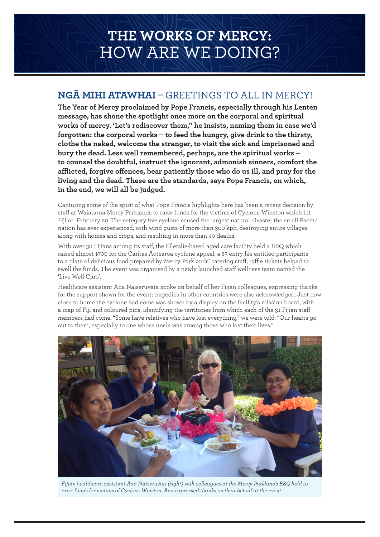## **THE WORKS OF MERCY:**  HOW ARE WE DOING?

## **NGĀ MIHI ATAWHAI** – GREETINGS TO ALL IN MERCY!

**The Year of Mercy proclaimed by Pope Francis, especially through his Lenten message, has shone the spotlight once more on the corporal and spiritual works of mercy. 'Let's rediscover them," he insists, naming them in case we'd forgotten: the corporal works – to feed the hungry, give drink to the thirsty, clothe the naked, welcome the stranger, to visit the sick and imprisoned and bury the dead. Less well remembered, perhaps, are the spiritual works – to counsel the doubtful, instruct the ignorant, admonish sinners, comfort the afflicted, forgive offences, bear patiently those who do us ill, and pray for the living and the dead. These are the standards, says Pope Francis, on which, in the end, we will all be judged.**

Capturing some of the spirit of what Pope Francis highlights here has been a recent decision by staff at Waiatarua Mercy Parklands to raise funds for the victims of Cyclone Winston which hit Fiji on February 20. The category five cyclone caused the largest natural disaster the small Pacific nation has ever experienced, with wind gusts of more than 300 kph, destroying entire villages along with homes and crops, and resulting in more than 40 deaths.

With over 30 Fijians among its staff, the Ellerslie-based aged care facility held a BBQ which raised almost \$700 for the Caritas Aotearoa cyclone appeal; a \$5 entry fee entitled participants to a plate of delicious food prepared by Mercy Parklands' catering staff; raffle tickets helped to swell the funds. The event was organised by a newly launched staff wellness team named the 'Live Well Club'.

Healthcare assistant Ana Naiseruvata spoke on behalf of her Fijian colleagues, expressing thanks for the support shown for the event; tragedies in other countries were also acknowledged. Just how close to home the cyclone had come was shown by a display on the facility's mission board, with a map of Fiji and coloured pins, identifying the territories from which each of the 31 Fijian staff members had come. "Some have relatives who have lost everything," we were told. "Our hearts go out to them, especially to one whose uncle was among those who lost their lives."



*Fijian healthcare assistant Ana Naiseruvati (right) with colleagues at the Mercy Parklands BBQ held to raise funds for victims of Cyclone Winston. Ana expressed thanks on their behalf at the event.*